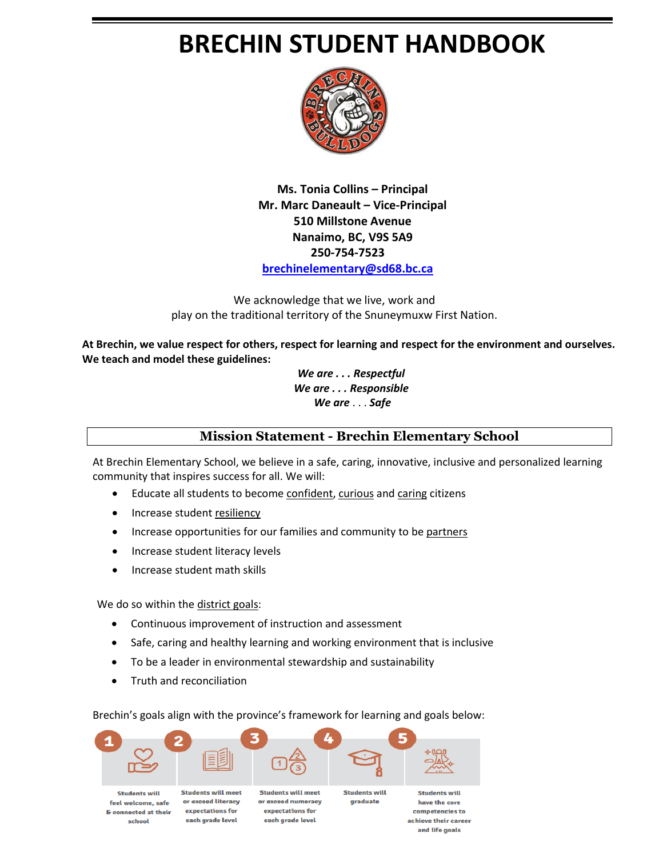# **BRECHIN STUDENT HANDBOOK**



**Ms. Tonia Collins – Principal Mr. Marc Daneault – Vice-Principal 510 Millstone Avenue Nanaimo, BC, V9S 5A9 250-754-7523 [brechinelementary@sd68.bc.ca](mailto:brechinelementary@sd68.bc.ca)**

We acknowledge that we live, work and play on the traditional territory of the Snuneymuxw First Nation.

**At Brechin, we value respect for others, respect for learning and respect for the environment and ourselves. We teach and model these guidelines:**

> *We are . . . Respectful We are . . . Responsible We are* . . . *Safe*

## **Mission Statement - Brechin Elementary School**

and life goals

At Brechin Elementary School, we believe in a safe, caring, innovative, inclusive and personalized learning community that inspires success for all. We will:

- Educate all students to become confident, curious and caring citizens
- Increase student resiliency
- Increase opportunities for our families and community to be partners
- Increase student literacy levels
- Increase student math skills

We do so within the district goals:

- Continuous improvement of instruction and assessment
- Safe, caring and healthy learning and working environment that is inclusive
- To be a leader in environmental stewardship and sustainability
- Truth and reconciliation

Brechin's goals align with the province's framework for learning and goals below:

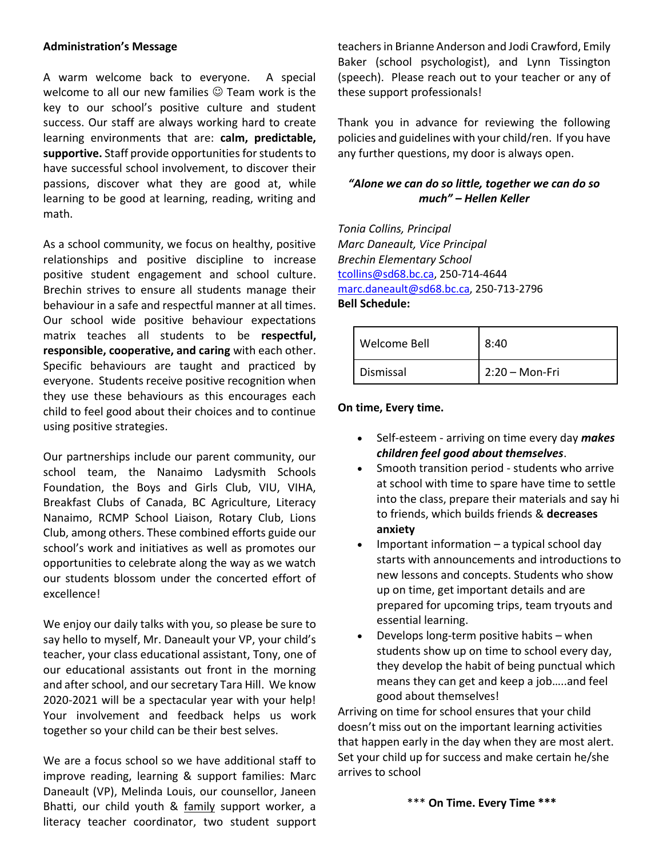#### **Administration's Message**

A warm welcome back to everyone. A special welcome to all our new families  $\odot$  Team work is the key to our school's positive culture and student success. Our staff are always working hard to create learning environments that are: **calm, predictable, supportive.** Staff provide opportunities for students to have successful school involvement, to discover their passions, discover what they are good at, while learning to be good at learning, reading, writing and math.

As a school community, we focus on healthy, positive relationships and positive discipline to increase positive student engagement and school culture. Brechin strives to ensure all students manage their behaviour in a safe and respectful manner at all times. Our school wide positive behaviour expectations matrix teaches all students to be **respectful, responsible, cooperative, and caring** with each other. Specific behaviours are taught and practiced by everyone. Students receive positive recognition when they use these behaviours as this encourages each child to feel good about their choices and to continue using positive strategies.

Our partnerships include our parent community, our school team, the Nanaimo Ladysmith Schools Foundation, the Boys and Girls Club, VIU, VIHA, Breakfast Clubs of Canada, BC Agriculture, Literacy Nanaimo, RCMP School Liaison, Rotary Club, Lions Club, among others. These combined efforts guide our school's work and initiatives as well as promotes our opportunities to celebrate along the way as we watch our students blossom under the concerted effort of excellence!

We enjoy our daily talks with you, so please be sure to say hello to myself, Mr. Daneault your VP, your child's teacher, your class educational assistant, Tony, one of our educational assistants out front in the morning and after school, and our secretary Tara Hill. We know 2020-2021 will be a spectacular year with your help! Your involvement and feedback helps us work together so your child can be their best selves.

We are a focus school so we have additional staff to improve reading, learning & support families: Marc Daneault (VP), Melinda Louis, our counsellor, Janeen Bhatti, our child youth & family support worker, a literacy teacher coordinator, two student support teachers in Brianne Anderson and Jodi Crawford, Emily Baker (school psychologist), and Lynn Tissington (speech). Please reach out to your teacher or any of these support professionals!

Thank you in advance for reviewing the following policies and guidelines with your child/ren. If you have any further questions, my door is always open.

#### *"Alone we can do so little, together we can do so much" – Hellen Keller*

*Tonia Collins, Principal Marc Daneault, Vice Principal Brechin Elementary School*  [tcollins@sd68.bc.ca,](mailto:tcollins@sd68.bc.ca) 250-714-4644 [marc.daneault@sd68.bc.ca,](mailto:marc.daneault@sd68.bc.ca) 250-713-2796 **Bell Schedule:**

| Welcome Bell | 8:40             |
|--------------|------------------|
| Dismissal    | $2:20 - Mon-Fri$ |

**On time, Every time.**

- Self-esteem arriving on time every day *makes children feel good about themselves*.
- Smooth transition period students who arrive at school with time to spare have time to settle into the class, prepare their materials and say hi to friends, which builds friends & **decreases anxiety**
- Important information  $-$  a typical school day starts with announcements and introductions to new lessons and concepts. Students who show up on time, get important details and are prepared for upcoming trips, team tryouts and essential learning.
- Develops long-term positive habits when students show up on time to school every day, they develop the habit of being punctual which means they can get and keep a job…..and feel good about themselves!

Arriving on time for school ensures that your child doesn't miss out on the important learning activities that happen early in the day when they are most alert. Set your child up for success and make certain he/she arrives to school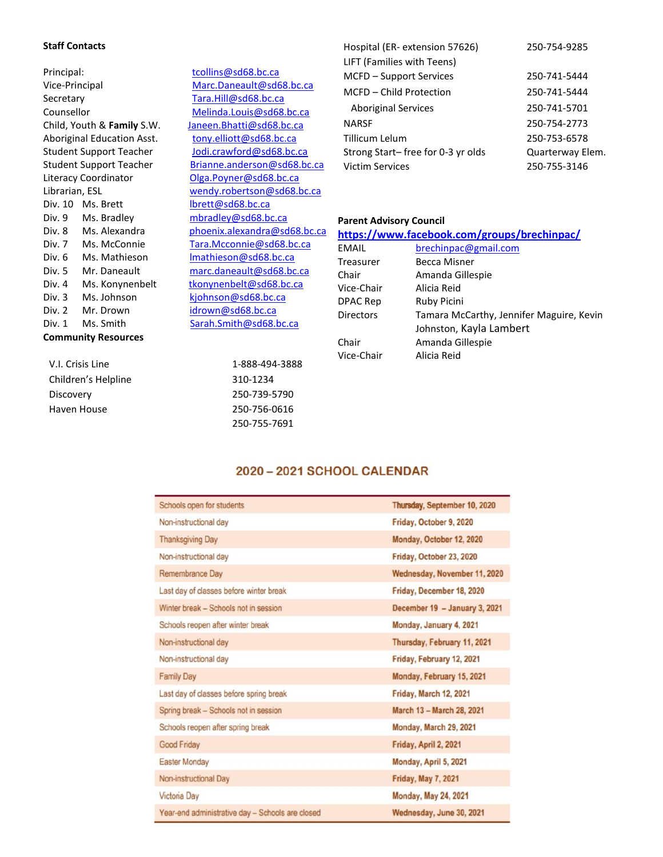#### **Staff Contacts**

| Principal:                     |                            |  |  |  |
|--------------------------------|----------------------------|--|--|--|
| Vice-Principal                 |                            |  |  |  |
| Secretary                      |                            |  |  |  |
| Counsellor                     |                            |  |  |  |
|                                | Child, Youth & Family S.W. |  |  |  |
|                                | Aboriginal Education Asst. |  |  |  |
| Student Support Teacher        |                            |  |  |  |
| <b>Student Support Teacher</b> |                            |  |  |  |
|                                | Literacy Coordinator       |  |  |  |
| Librarian, ESL                 |                            |  |  |  |
|                                | Div. 10 Ms. Brett          |  |  |  |
| Div. 9                         | Ms. Bradley                |  |  |  |
| Div. 8                         | Ms. Alexandra              |  |  |  |
| Div. 7                         | Ms. McConnie               |  |  |  |
| Div. 6                         | Ms. Mathieson              |  |  |  |
| Div. 5                         | Mr. Daneault               |  |  |  |
| Div. 4                         | Ms. Konynenbelt            |  |  |  |
| Div. 3                         | Ms. Johnson                |  |  |  |
| Div. 2                         | Mr. Drown                  |  |  |  |
| Div. 1<br>Ms. Smith            |                            |  |  |  |
| <b>Community Resources</b>     |                            |  |  |  |

| <b>Community Resources</b> |                |  |  |  |
|----------------------------|----------------|--|--|--|
| V.I. Crisis Line           | 1-888-494-3888 |  |  |  |
| Children's Helpline        | 310-1234       |  |  |  |
| Discovery                  | 250-739-5790   |  |  |  |
| Haven House                | 250-756-0616   |  |  |  |

[tcollins@sd68.bc.ca](mailto:tcollins@sd68.bc.ca) [Marc.Daneault@sd68.bc.ca](mailto:Marc.Daneault@sd68.bc.ca) [Tara.Hill@sd68.bc.ca](mailto:Tara.Hill@sd68.bc.ca) [Melinda.Louis@sd68.bc.ca](mailto:Melinda.Louis@sd68.bc.ca) Janeen. Bhatti@sd68.bc.ca [tony.elliott@sd68.bc.ca](mailto:tony.elliott@sd68.bc.ca) [Jodi.crawford@sd68.bc.ca](mailto:Jodi.crawford@sd68.bc.ca) [Brianne.anderson@sd68.bc.ca](mailto:Brianne.anderson@sd68.bc.ca) [Olga.Poyner@sd68.bc.ca](mailto:Olga.Poyner@sd68.bc.ca) [wendy.robertson@sd68.bc.ca](mailto:wendy.robertson@sd68.bc.ca) [lbrett@sd68.bc.ca](mailto:lbrett@sd68.bc.ca) [mbradley@sd68.bc.ca](mailto:mbradley@sd68.bc.ca) [phoenix.alexandra@sd68.bc.ca](mailto:phoenix.alexandra@sd68.bc.ca) [Tara.Mcconnie@sd68.bc.ca](mailto:Tara.Mcconnie@sd68.bc.ca) Imathieson@sd68.bc.ca [marc.daneault@sd68.bc.ca](mailto:marc.daneault@sd68.bc.ca) [tkonynenbelt@sd68.bc.ca](mailto:tkonynenbelt@sd68.bc.ca) [kjohnson@sd68.bc.ca](mailto:kjohnson@sd68.bc.ca) [idrown@sd68.bc.ca](mailto:idrown@sd68.bc.ca) [Sarah.Smith@sd68.bc.ca](mailto:Sarah.Smith@sd68.bc.ca)

> 250-755-7691

| Hospital (ER- extension 57626)    | 250-754-9285     |
|-----------------------------------|------------------|
| LIFT (Families with Teens)        |                  |
| MCFD - Support Services           | 250-741-5444     |
| MCFD – Child Protection           | 250-741-5444     |
| <b>Aboriginal Services</b>        | 250-741-5701     |
| <b>NARSF</b>                      | 250-754-2773     |
| Tillicum Lelum                    | 250-753-6578     |
| Strong Start-free for 0-3 yr olds | Quarterway Elem. |
| <b>Victim Services</b>            | 250-755-3146     |

#### **Parent Advisory Council**

#### **<https://www.facebook.com/groups/brechinpac/>**

| EMAIL            | brechinpac@gmail.com                     |
|------------------|------------------------------------------|
| Treasurer        | Becca Misner                             |
| Chair            | Amanda Gillespie                         |
| Vice-Chair       | Alicia Reid                              |
| DPAC Rep         | Ruby Picini                              |
| <b>Directors</b> | Tamara McCarthy, Jennifer Maguire, Kevin |
|                  | Johnston, Kayla Lambert                  |
| Chair            | Amanda Gillespie                         |
| Vice-Chair       | Alicia Reid                              |

#### 2020 - 2021 SCHOOL CALENDAR

| Schools open for students                        | Thursday, September 10, 2020  |  |  |
|--------------------------------------------------|-------------------------------|--|--|
| Non-instructional day                            | Friday, October 9, 2020       |  |  |
| <b>Thanksgiving Day</b>                          | Monday, October 12, 2020      |  |  |
| Non-instructional day                            | Friday, October 23, 2020      |  |  |
| Remembrance Day                                  | Wednesday, November 11, 2020  |  |  |
| Last day of classes before winter break          | Friday, December 18, 2020     |  |  |
| Winter break - Schools not in session            | December 19 - January 3, 2021 |  |  |
| Schools reopen after winter break                | Monday, January 4, 2021       |  |  |
| Non-instructional day                            | Thursday, February 11, 2021   |  |  |
| Non-instructional day                            | Friday, February 12, 2021     |  |  |
| <b>Family Day</b>                                | Monday, February 15, 2021     |  |  |
| Last day of classes before spring break          | <b>Friday, March 12, 2021</b> |  |  |
| Spring break - Schools not in session            | March 13 - March 28, 2021     |  |  |
| Schools reopen after spring break                | Monday, March 29, 2021        |  |  |
| Good Friday                                      | Friday, April 2, 2021         |  |  |
| <b>Easter Monday</b>                             | Monday, April 5, 2021         |  |  |
| Non-instructional Day                            | <b>Friday, May 7, 2021</b>    |  |  |
| <b>Victoria Day</b>                              | <b>Monday, May 24, 2021</b>   |  |  |
| Year-end administrative day - Schools are closed | Wednesday, June 30, 2021      |  |  |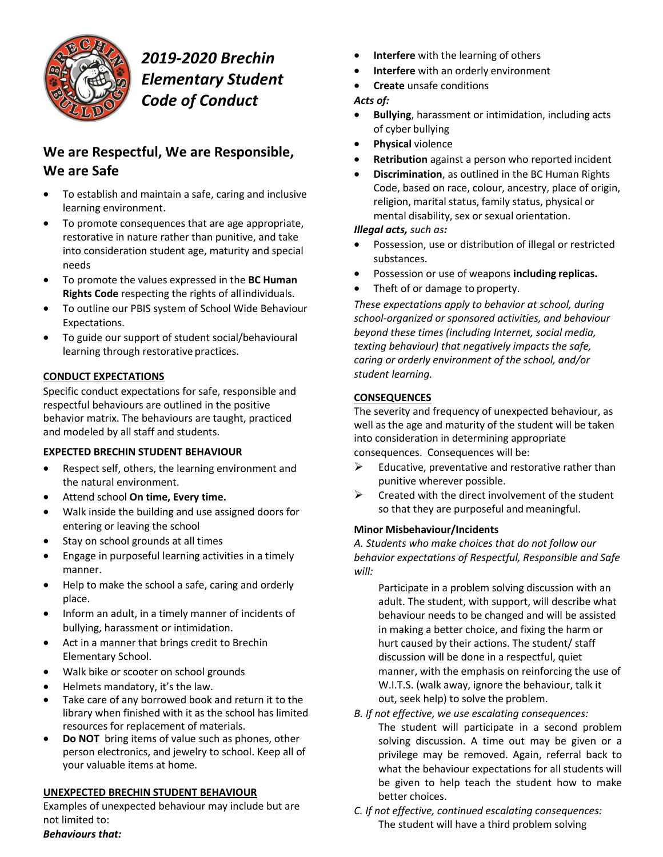

## *2019-2020 Brechin Elementary Student Code of Conduct*

## **We are Respectful, We are Responsible, We are Safe**

- To establish and maintain a safe, caring and inclusive learning environment.
- To promote consequences that are age appropriate, restorative in nature rather than punitive, and take into consideration student age, maturity and special needs
- To promote the values expressed in the **BC Human Rights Code** respecting the rights of allindividuals.
- To outline our PBIS system of School Wide Behaviour Expectations.
- To guide our support of student social/behavioural learning through restorative practices.

## **CONDUCT EXPECTATIONS**

Specific conduct expectations for safe, responsible and respectful behaviours are outlined in the positive behavior matrix. The behaviours are taught, practiced and modeled by all staff and students.

## **EXPECTED BRECHIN STUDENT BEHAVIOUR**

- Respect self, others, the learning environment and the natural environment.
- Attend school **On time, Every time.**
- Walk inside the building and use assigned doors for entering or leaving the school
- Stay on school grounds at all times
- Engage in purposeful learning activities in a timely manner.
- Help to make the school a safe, caring and orderly place.
- Inform an adult, in a timely manner of incidents of bullying, harassment or intimidation.
- Act in a manner that brings credit to Brechin Elementary School.
- Walk bike or scooter on school grounds
- Helmets mandatory, it's the law.
- Take care of any borrowed book and return it to the library when finished with it as the school has limited resources for replacement of materials.
- **Do NOT** bring items of value such as phones, other person electronics, and jewelry to school. Keep all of your valuable items at home.

## **UNEXPECTED BRECHIN STUDENT BEHAVIOUR**

Examples of unexpected behaviour may include but are not limited to: *Behaviours that:*

- **Interfere** with the learning of others
- **Interfere** with an orderly environment
- **Create** unsafe conditions

## *Acts of:*

- **Bullying**, harassment or intimidation, including acts of cyber bullying
- **Physical** violence
- **Retribution** against a person who reported incident
- **Discrimination**, as outlined in the BC Human Rights Code, based on race, colour, ancestry, place of origin, religion, marital status, family status, physical or mental disability, sex or sexual orientation.

## *Illegal acts, such as:*

- Possession, use or distribution of illegal or restricted substances.
- Possession or use of weapons **including replicas.**
- Theft of or damage to property.

*These expectations apply to behavior at school, during school-organized or sponsored activities, and behaviour beyond these times (including Internet, social media, texting behaviour) that negatively impacts the safe, caring or orderly environment of the school, and/or student learning.*

#### **CONSEQUENCES**

The severity and frequency of unexpected behaviour, as well as the age and maturity of the student will be taken into consideration in determining appropriate consequences. Consequences will be:

- $\triangleright$  Educative, preventative and restorative rather than punitive wherever possible.
- $\triangleright$  Created with the direct involvement of the student so that they are purposeful and meaningful.

## **Minor Misbehaviour/Incidents**

*A. Students who make choices that do not follow our behavior expectations of Respectful, Responsible and Safe will:*

Participate in a problem solving discussion with an adult. The student, with support, will describe what behaviour needs to be changed and will be assisted in making a better choice, and fixing the harm or hurt caused by their actions. The student/ staff discussion will be done in a respectful, quiet manner, with the emphasis on reinforcing the use of W.I.T.S. (walk away, ignore the behaviour, talk it out, seek help) to solve the problem.

- *B. If not effective, we use escalating consequences:* The student will participate in a second problem solving discussion. A time out may be given or a privilege may be removed. Again, referral back to what the behaviour expectations for all students will be given to help teach the student how to make better choices.
- *C. If not effective, continued escalating consequences:* The student will have a third problem solving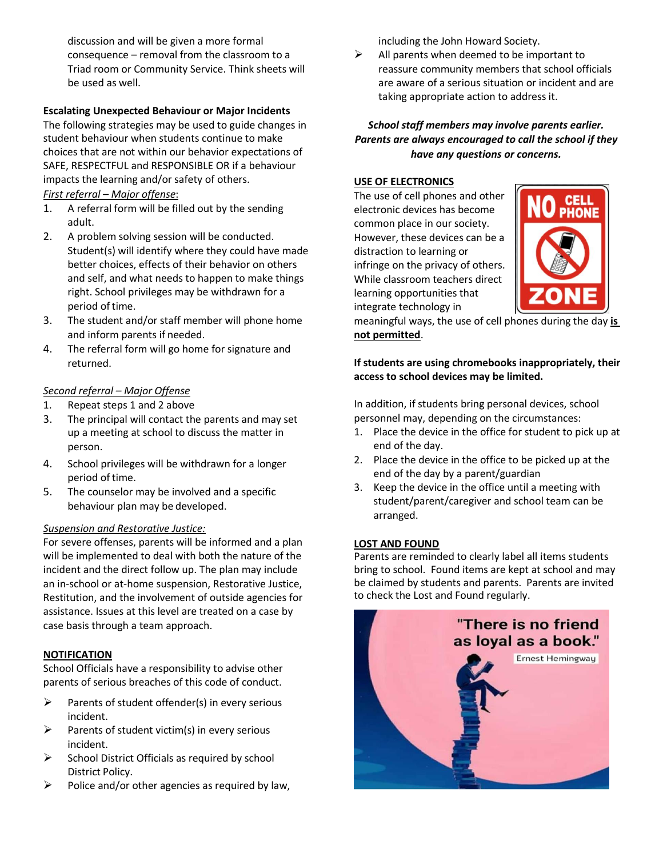discussion and will be given a more formal consequence – removal from the classroom to a Triad room or Community Service. Think sheets will be used as well.

## **Escalating Unexpected Behaviour or Major Incidents**

The following strategies may be used to guide changes in student behaviour when students continue to make choices that are not within our behavior expectations of SAFE, RESPECTFUL and RESPONSIBLE OR if a behaviour impacts the learning and/or safety of others. *First referral – Major offense*:

- 1. A referral form will be filled out by the sending adult.
- 2. A problem solving session will be conducted. Student(s) will identify where they could have made better choices, effects of their behavior on others and self, and what needs to happen to make things right. School privileges may be withdrawn for a period of time.
- 3. The student and/or staff member will phone home and inform parents if needed.
- 4. The referral form will go home for signature and returned.

## *Second referral – Major Offense*

- 1. Repeat steps 1 and 2 above
- 3. The principal will contact the parents and may set up a meeting at school to discuss the matter in person.
- 4. School privileges will be withdrawn for a longer period of time.
- 5. The counselor may be involved and a specific behaviour plan may be developed.

## *Suspension and Restorative Justice:*

For severe offenses, parents will be informed and a plan will be implemented to deal with both the nature of the incident and the direct follow up. The plan may include an in-school or at-home suspension, Restorative Justice, Restitution, and the involvement of outside agencies for assistance. Issues at this level are treated on a case by case basis through a team approach.

## **NOTIFICATION**

School Officials have a responsibility to advise other parents of serious breaches of this code of conduct.

- $\triangleright$  Parents of student offender(s) in every serious incident.
- $\triangleright$  Parents of student victim(s) in every serious incident.
- $\triangleright$  School District Officials as required by school District Policy.
- $\triangleright$  Police and/or other agencies as required by law,

including the John Howard Society.

 $\triangleright$  All parents when deemed to be important to reassure community members that school officials are aware of a serious situation or incident and are taking appropriate action to address it.

## *School staff members may involve parents earlier. Parents are always encouraged to call the school if they have any questions or concerns.*

#### **USE OF ELECTRONICS**

The use of cell phones and other electronic devices has become common place in our society. However, these devices can be a distraction to learning or infringe on the privacy of others. While classroom teachers direct learning opportunities that integrate technology in



meaningful ways, the use of cell phones during the day **is not permitted**.

#### **If students are using chromebooks inappropriately, their access to school devices may be limited.**

In addition, if students bring personal devices, school personnel may, depending on the circumstances:

- 1. Place the device in the office for student to pick up at end of the day.
- 2. Place the device in the office to be picked up at the end of the day by a parent/guardian
- 3. Keep the device in the office until a meeting with student/parent/caregiver and school team can be arranged.

#### **LOST AND FOUND**

Parents are reminded to clearly label all items students bring to school. Found items are kept at school and may be claimed by students and parents. Parents are invited to check the Lost and Found regularly.

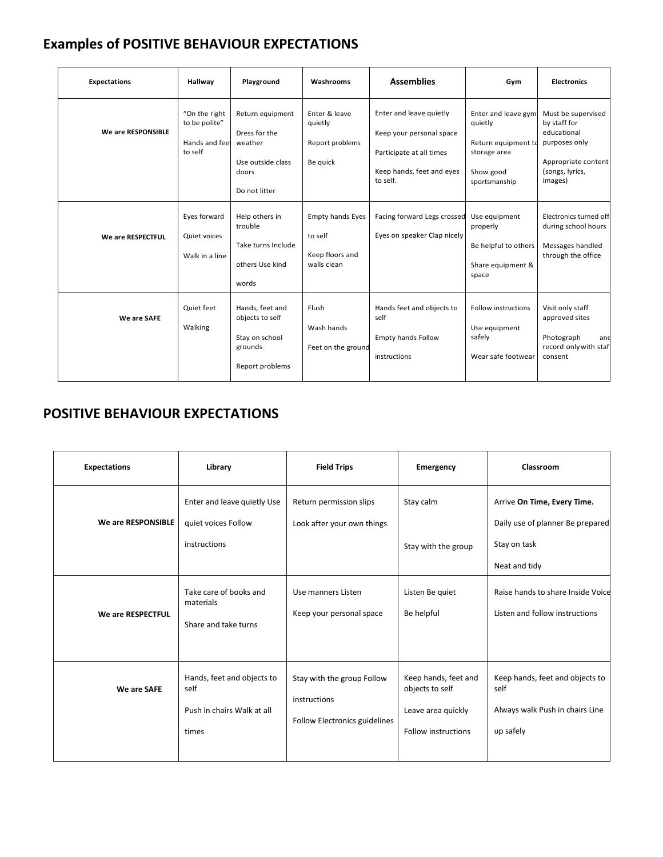## **Examples of POSITIVE BEHAVIOUR EXPECTATIONS**

| <b>Expectations</b> | Hallway                                                                     | Playground                                                                                                               | Washrooms                                                                          | <b>Assemblies</b>                                                                                                                                       | Gym                                                                                                                              | <b>Electronics</b>                                                                                                                                                       |
|---------------------|-----------------------------------------------------------------------------|--------------------------------------------------------------------------------------------------------------------------|------------------------------------------------------------------------------------|---------------------------------------------------------------------------------------------------------------------------------------------------------|----------------------------------------------------------------------------------------------------------------------------------|--------------------------------------------------------------------------------------------------------------------------------------------------------------------------|
| We are RESPONSIBLE  | "On the right<br>to be polite"<br>Hands and feet<br>to self<br>Eyes forward | Return equipment<br>Dress for the<br>weather<br>Use outside class<br>doors<br>Do not litter<br>Help others in<br>trouble | Enter & leave<br>quietly<br>Report problems<br>Be quick<br><b>Empty hands Eyes</b> | Enter and leave quietly<br>Keep your personal space<br>Participate at all times<br>Keep hands, feet and eyes<br>to self.<br>Facing forward Legs crossed | Enter and leave gym<br>quietly<br>Return equipment to<br>storage area<br>Show good<br>sportsmanship<br>Use equipment<br>properly | Must be supervised<br>by staff for<br>educational<br>purposes only<br>Appropriate content<br>(songs, lyrics,<br>images)<br>Electronics turned off<br>during school hours |
| We are RESPECTFUL   | Quiet voices<br>Walk in a line                                              | Take turns Include<br>others Use kind<br>words                                                                           | to self<br>Keep floors and<br>walls clean                                          | Eyes on speaker Clap nicely                                                                                                                             | Be helpful to others<br>Share equipment &<br>space                                                                               | Messages handled<br>through the office                                                                                                                                   |
| We are SAFE         | Quiet feet<br>Walking                                                       | Hands, feet and<br>objects to self<br>Stay on school<br>grounds<br>Report problems                                       | Flush<br>Wash hands<br>Feet on the ground                                          | Hands feet and objects to<br>self<br><b>Empty hands Follow</b><br>instructions                                                                          | <b>Follow instructions</b><br>Use equipment<br>safely<br>Wear safe footwear                                                      | Visit only staff<br>approved sites<br>Photograph<br>and<br>record only with staf<br>consent                                                                              |

## **POSITIVE BEHAVIOUR EXPECTATIONS**

| <b>Expectations</b> | Library                                                                   | <b>Field Trips</b>                                                          | Emergency                                                                                   | Classroom                                                                                        |
|---------------------|---------------------------------------------------------------------------|-----------------------------------------------------------------------------|---------------------------------------------------------------------------------------------|--------------------------------------------------------------------------------------------------|
| We are RESPONSIBLE  | Enter and leave quietly Use<br>quiet voices Follow<br>instructions        | Return permission slips<br>Look after your own things                       | Stay calm<br>Stay with the group                                                            | Arrive On Time, Every Time.<br>Daily use of planner Be prepared<br>Stay on task<br>Neat and tidy |
| We are RESPECTFUL   | Take care of books and<br>materials<br>Share and take turns               | Use manners Listen<br>Keep your personal space                              | Listen Be quiet<br>Be helpful                                                               | Raise hands to share Inside Voice<br>Listen and follow instructions                              |
| We are SAFE         | Hands, feet and objects to<br>self<br>Push in chairs Walk at all<br>times | Stay with the group Follow<br>instructions<br>Follow Electronics guidelines | Keep hands, feet and<br>objects to self<br>Leave area quickly<br><b>Follow instructions</b> | Keep hands, feet and objects to<br>self<br>Always walk Push in chairs Line<br>up safely          |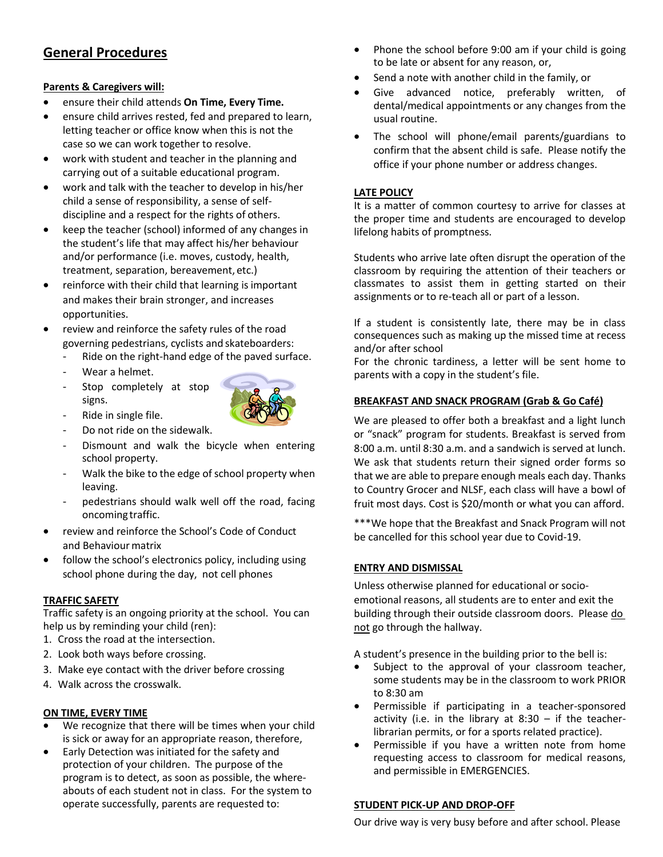## **General Procedures**

#### **Parents & Caregivers will:**

- ensure their child attends **On Time, Every Time.**
- ensure child arrives rested, fed and prepared to learn, letting teacher or office know when this is not the case so we can work together to resolve.
- work with student and teacher in the planning and carrying out of a suitable educational program.
- work and talk with the teacher to develop in his/her child a sense of responsibility, a sense of selfdiscipline and a respect for the rights of others.
- keep the teacher (school) informed of any changes in the student's life that may affect his/her behaviour and/or performance (i.e. moves, custody, health, treatment, separation, bereavement, etc.)
- reinforce with their child that learning is important and makes their brain stronger, and increases opportunities.
- review and reinforce the safety rules of the road governing pedestrians, cyclists and skateboarders:
	- Ride on the right-hand edge of the paved surface.
	- Wear a helmet.
	- Stop completely at stop signs.
	- Ride in single file.
	- Do not ride on the sidewalk.
	- Dismount and walk the bicycle when entering school property.
	- Walk the bike to the edge of school property when leaving.
	- pedestrians should walk well off the road, facing oncoming traffic.
- review and reinforce the School's Code of Conduct and Behaviour matrix
- follow the school's electronics policy, including using school phone during the day, not cell phones

#### **TRAFFIC SAFETY**

Traffic safety is an ongoing priority at the school. You can help us by reminding your child (ren):

- 1. Cross the road at the intersection.
- 2. Look both ways before crossing.
- 3. Make eye contact with the driver before crossing
- 4. Walk across the crosswalk.

#### **ON TIME, EVERY TIME**

- We recognize that there will be times when your child is sick or away for an appropriate reason, therefore,
- Early Detection was initiated for the safety and protection of your children. The purpose of the program is to detect, as soon as possible, the whereabouts of each student not in class. For the system to operate successfully, parents are requested to:
- Phone the school before 9:00 am if your child is going to be late or absent for any reason, or,
- Send a note with another child in the family, or
- Give advanced notice, preferably written, of dental/medical appointments or any changes from the usual routine.
- The school will phone/email parents/guardians to confirm that the absent child is safe. Please notify the office if your phone number or address changes.

#### **LATE POLICY**

It is a matter of common courtesy to arrive for classes at the proper time and students are encouraged to develop lifelong habits of promptness.

Students who arrive late often disrupt the operation of the classroom by requiring the attention of their teachers or classmates to assist them in getting started on their assignments or to re-teach all or part of a lesson.

If a student is consistently late, there may be in class consequences such as making up the missed time at recess and/or after school

For the chronic tardiness, a letter will be sent home to parents with a copy in the student's file.

#### **BREAKFAST AND SNACK PROGRAM (Grab & Go Café)**

We are pleased to offer both a breakfast and a light lunch or "snack" program for students. Breakfast is served from 8:00 a.m. until 8:30 a.m. and a sandwich is served at lunch. We ask that students return their signed order forms so that we are able to prepare enough meals each day. Thanks to Country Grocer and NLSF, each class will have a bowl of fruit most days. Cost is \$20/month or what you can afford.

\*\*\*We hope that the Breakfast and Snack Program will not be cancelled for this school year due to Covid-19.

#### **ENTRY AND DISMISSAL**

Unless otherwise planned for educational or socioemotional reasons, all students are to enter and exit the building through their outside classroom doors. Please do not go through the hallway.

A student's presence in the building prior to the bell is:

- Subject to the approval of your classroom teacher, some students may be in the classroom to work PRIOR to 8:30 am
- Permissible if participating in a teacher-sponsored activity (i.e. in the library at  $8:30 - if$  the teacherlibrarian permits, or for a sports related practice).
- Permissible if you have a written note from home requesting access to classroom for medical reasons, and permissible in EMERGENCIES.

#### **STUDENT PICK-UP AND DROP-OFF**

Our drive way is very busy before and after school. Please

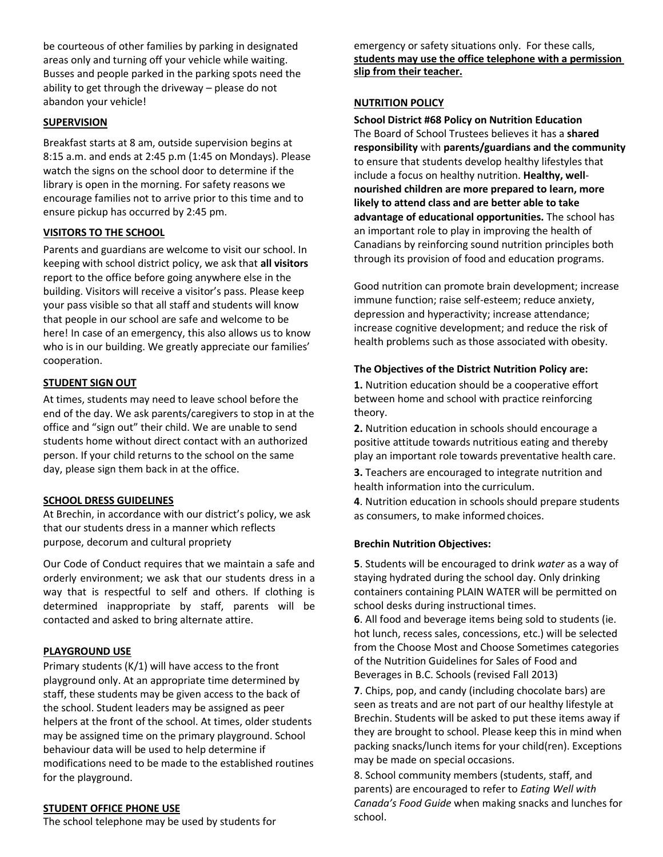be courteous of other families by parking in designated areas only and turning off your vehicle while waiting. Busses and people parked in the parking spots need the ability to get through the driveway – please do not abandon your vehicle!

#### **SUPERVISION**

Breakfast starts at 8 am, outside supervision begins at 8:15 a.m. and ends at 2:45 p.m (1:45 on Mondays). Please watch the signs on the school door to determine if the library is open in the morning. For safety reasons we encourage families not to arrive prior to this time and to ensure pickup has occurred by 2:45 pm.

#### **VISITORS TO THE SCHOOL**

Parents and guardians are welcome to visit our school. In keeping with school district policy, we ask that **all visitors**  report to the office before going anywhere else in the building. Visitors will receive a visitor's pass. Please keep your pass visible so that all staff and students will know that people in our school are safe and welcome to be here! In case of an emergency, this also allows us to know who is in our building. We greatly appreciate our families' cooperation.

#### **STUDENT SIGN OUT**

At times, students may need to leave school before the end of the day. We ask parents/caregivers to stop in at the office and "sign out" their child. We are unable to send students home without direct contact with an authorized person. If your child returns to the school on the same day, please sign them back in at the office.

#### **SCHOOL DRESS GUIDELINES**

At Brechin, in accordance with our district's policy, we ask that our students dress in a manner which reflects purpose, decorum and cultural propriety

Our Code of Conduct requires that we maintain a safe and orderly environment; we ask that our students dress in a way that is respectful to self and others. If clothing is determined inappropriate by staff, parents will be contacted and asked to bring alternate attire.

#### **PLAYGROUND USE**

Primary students (K/1) will have access to the front playground only. At an appropriate time determined by staff, these students may be given access to the back of the school. Student leaders may be assigned as peer helpers at the front of the school. At times, older students may be assigned time on the primary playground. School behaviour data will be used to help determine if modifications need to be made to the established routines for the playground.

#### **STUDENT OFFICE PHONE USE**

The school telephone may be used by students for

emergency or safety situations only. For these calls, **students may use the office telephone with a permission slip from their teacher.**

#### **NUTRITION POLICY**

**School District #68 Policy on Nutrition Education** The Board of School Trustees believes it has a **shared responsibility** with **parents/guardians and the community**  to ensure that students develop healthy lifestyles that include a focus on healthy nutrition. **Healthy, wellnourished children are more prepared to learn, more likely to attend class and are better able to take advantage of educational opportunities.** The school has an important role to play in improving the health of Canadians by reinforcing sound nutrition principles both through its provision of food and education programs.

Good nutrition can promote brain development; increase immune function; raise self-esteem; reduce anxiety, depression and hyperactivity; increase attendance; increase cognitive development; and reduce the risk of health problems such as those associated with obesity.

#### **The Objectives of the District Nutrition Policy are:**

**1.** Nutrition education should be a cooperative effort between home and school with practice reinforcing theory.

**2.** Nutrition education in schools should encourage a positive attitude towards nutritious eating and thereby play an important role towards preventative health care.

**3.** Teachers are encouraged to integrate nutrition and health information into the curriculum.

**4**. Nutrition education in schools should prepare students as consumers, to make informed choices.

#### **Brechin Nutrition Objectives:**

**5**. Students will be encouraged to drink *water* as a way of staying hydrated during the school day. Only drinking containers containing PLAIN WATER will be permitted on school desks during instructional times.

**6**. All food and beverage items being sold to students (ie. hot lunch, recess sales, concessions, etc.) will be selected from the Choose Most and Choose Sometimes categories of the Nutrition Guidelines for Sales of Food and Beverages in B.C. Schools (revised Fall 2013)

**7**. Chips, pop, and candy (including chocolate bars) are seen as treats and are not part of our healthy lifestyle at Brechin. Students will be asked to put these items away if they are brought to school. Please keep this in mind when packing snacks/lunch items for your child(ren). Exceptions may be made on special occasions.

8. School community members (students, staff, and parents) are encouraged to refer to *Eating Well with Canada's Food Guide* when making snacks and lunches for school.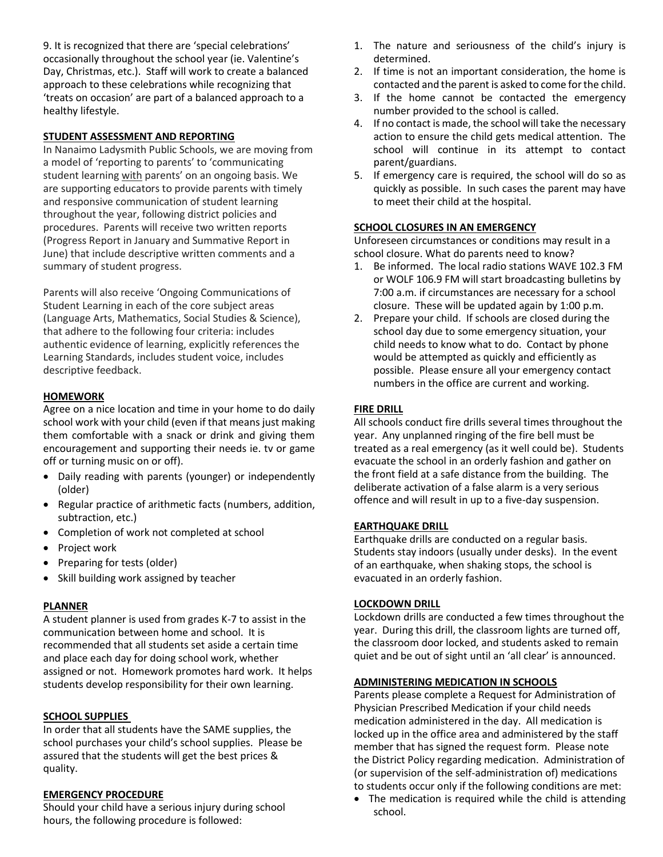9. It is recognized that there are 'special celebrations' occasionally throughout the school year (ie. Valentine's Day, Christmas, etc.). Staff will work to create a balanced approach to these celebrations while recognizing that 'treats on occasion' are part of a balanced approach to a healthy lifestyle.

#### **STUDENT ASSESSMENT AND REPORTING**

In Nanaimo Ladysmith Public Schools, we are moving from a model of 'reporting to parents' to 'communicating student learning with parents' on an ongoing basis. We are supporting educators to provide parents with timely and responsive communication of student learning throughout the year, following district policies and procedures. Parents will receive two written reports (Progress Report in January and Summative Report in June) that include descriptive written comments and a summary of student progress.

Parents will also receive 'Ongoing Communications of Student Learning in each of the core subject areas (Language Arts, Mathematics, Social Studies & Science), that adhere to the following four criteria: includes authentic evidence of learning, explicitly references the Learning Standards, includes student voice, includes descriptive feedback.

#### **HOMEWORK**

Agree on a nice location and time in your home to do daily school work with your child (even if that means just making them comfortable with a snack or drink and giving them encouragement and supporting their needs ie. tv or game off or turning music on or off).

- Daily reading with parents (younger) or independently (older)
- Regular practice of arithmetic facts (numbers, addition, subtraction, etc.)
- Completion of work not completed at school
- Project work
- Preparing for tests (older)
- Skill building work assigned by teacher

#### **PLANNER**

A student planner is used from grades K-7 to assist in the communication between home and school. It is recommended that all students set aside a certain time and place each day for doing school work, whether assigned or not. Homework promotes hard work. It helps students develop responsibility for their own learning.

#### **SCHOOL SUPPLIES**

In order that all students have the SAME supplies, the school purchases your child's school supplies. Please be assured that the students will get the best prices & quality.

#### **EMERGENCY PROCEDURE**

Should your child have a serious injury during school hours, the following procedure is followed:

- 1. The nature and seriousness of the child's injury is determined.
- 2. If time is not an important consideration, the home is contacted and the parent is asked to come for the child.
- 3. If the home cannot be contacted the emergency number provided to the school is called.
- 4. If no contact is made, the school will take the necessary action to ensure the child gets medical attention. The school will continue in its attempt to contact parent/guardians.
- 5. If emergency care is required, the school will do so as quickly as possible. In such cases the parent may have to meet their child at the hospital.

#### **SCHOOL CLOSURES IN AN EMERGENCY**

Unforeseen circumstances or conditions may result in a school closure. What do parents need to know?

- 1. Be informed. The local radio stations WAVE 102.3 FM or WOLF 106.9 FM will start broadcasting bulletins by 7:00 a.m. if circumstances are necessary for a school closure. These will be updated again by 1:00 p.m.
- 2. Prepare your child. If schools are closed during the school day due to some emergency situation, your child needs to know what to do. Contact by phone would be attempted as quickly and efficiently as possible. Please ensure all your emergency contact numbers in the office are current and working.

#### **FIRE DRILL**

All schools conduct fire drills several times throughout the year. Any unplanned ringing of the fire bell must be treated as a real emergency (as it well could be). Students evacuate the school in an orderly fashion and gather on the front field at a safe distance from the building. The deliberate activation of a false alarm is a very serious offence and will result in up to a five-day suspension.

#### **EARTHQUAKE DRILL**

Earthquake drills are conducted on a regular basis. Students stay indoors (usually under desks). In the event of an earthquake, when shaking stops, the school is evacuated in an orderly fashion.

#### **LOCKDOWN DRILL**

Lockdown drills are conducted a few times throughout the year. During this drill, the classroom lights are turned off, the classroom door locked, and students asked to remain quiet and be out of sight until an 'all clear' is announced.

#### **ADMINISTERING MEDICATION IN SCHOOLS**

Parents please complete a Request for Administration of Physician Prescribed Medication if your child needs medication administered in the day. All medication is locked up in the office area and administered by the staff member that has signed the request form. Please note the District Policy regarding medication. Administration of (or supervision of the self-administration of) medications to students occur only if the following conditions are met:

• The medication is required while the child is attending school.